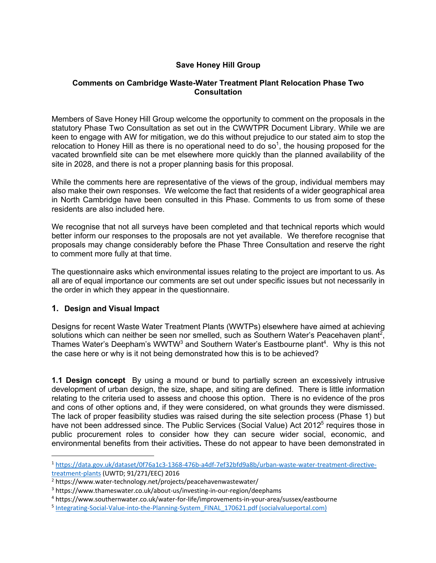## **Save Honey Hill Group**

### **Comments on Cambridge Waste-Water Treatment Plant Relocation Phase Two Consultation**

Members of Save Honey Hill Group welcome the opportunity to comment on the proposals in the statutory Phase Two Consultation as set out in the CWWTPR Document Library. While we are keen to engage with AW for mitigation, we do this without prejudice to our stated aim to stop the relocation to Honey Hill as there is no operational need to do so<sup>1</sup>, the housing proposed for the vacated brownfield site can be met elsewhere more quickly than the planned availability of the site in 2028, and there is not a proper planning basis for this proposal.

While the comments here are representative of the views of the group, individual members may also make their own responses. We welcome the fact that residents of a wider geographical area in North Cambridge have been consulted in this Phase. Comments to us from some of these residents are also included here.

We recognise that not all surveys have been completed and that technical reports which would better inform our responses to the proposals are not yet available. We therefore recognise that proposals may change considerably before the Phase Three Consultation and reserve the right to comment more fully at that time.

The questionnaire asks which environmental issues relating to the project are important to us. As all are of equal importance our comments are set out under specific issues but not necessarily in the order in which they appear in the questionnaire.

### **1. Design and Visual Impact**

Designs for recent Waste Water Treatment Plants (WWTPs) elsewhere have aimed at achieving solutions which can neither be seen nor smelled, such as Southern Water's Peacehaven plant<sup>2</sup>, Thames Water's Deepham's WWTW<sup>3</sup> and Southern Water's Eastbourne plant<sup>4</sup>. Why is this not the case here or why is it not being demonstrated how this is to be achieved?

**1.1 Design concept** By using a mound or bund to partially screen an excessively intrusive development of urban design, the size, shape, and siting are defined. There is little information relating to the criteria used to assess and choose this option. There is no evidence of the pros and cons of other options and, if they were considered, on what grounds they were dismissed. The lack of proper feasibility studies was raised during the site selection process (Phase 1) but have not been addressed since. The Public Services (Social Value) Act 2012<sup>5</sup> requires those in public procurement roles to consider how they can secure wider social, economic, and environmental benefits from their activities**.** These do not appear to have been demonstrated in

<sup>1</sup> https://data.gov.uk/dataset/0f76a1c3-1368-476b-a4df-7ef32bfd9a8b/urban-waste-water-treatment-directivetreatment-plants (UWTD; 91/271/EEC) 2016

<sup>2</sup> https://www.water-technology.net/projects/peacehavenwastewater/

<sup>3</sup> https://www.thameswater.co.uk/about-us/investing-in-our-region/deephams

<sup>4</sup> https://www.southernwater.co.uk/water-for-life/improvements-in-your-area/sussex/eastbourne

<sup>&</sup>lt;sup>5</sup> Integrating-Social-Value-into-the-Planning-System\_FINAL\_170621.pdf (socialvalueportal.com)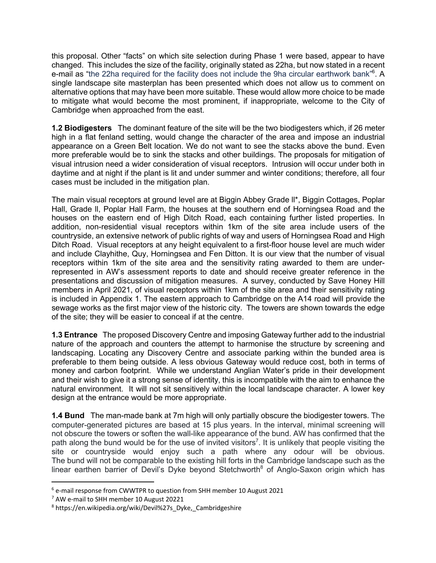this proposal. Other "facts" on which site selection during Phase 1 were based, appear to have changed. This includes the size of the facility, originally stated as 22ha, but now stated in a recent e-mail as "the 22ha required for the facility does not include the 9ha circular earthwork bank"<sup>6</sup>. A single landscape site masterplan has been presented which does not allow us to comment on alternative options that may have been more suitable. These would allow more choice to be made to mitigate what would become the most prominent, if inappropriate, welcome to the City of Cambridge when approached from the east.

**1.2 Biodigesters** The dominant feature of the site will be the two biodigesters which, if 26 meter high in a flat fenland setting, would change the character of the area and impose an industrial appearance on a Green Belt location. We do not want to see the stacks above the bund. Even more preferable would be to sink the stacks and other buildings. The proposals for mitigation of visual intrusion need a wider consideration of visual receptors. Intrusion will occur under both in daytime and at night if the plant is lit and under summer and winter conditions; therefore, all four cases must be included in the mitigation plan.

The main visual receptors at ground level are at Biggin Abbey Grade ll\*, Biggin Cottages, Poplar Hall, Grade ll, Poplar Hall Farm, the houses at the southern end of Horningsea Road and the houses on the eastern end of High Ditch Road, each containing further listed properties. In addition, non-residential visual receptors within 1km of the site area include users of the countryside, an extensive network of public rights of way and users of Horningsea Road and High Ditch Road. Visual receptors at any height equivalent to a first-floor house level are much wider and include Clayhithe, Quy, Horningsea and Fen Ditton. It is our view that the number of visual receptors within 1km of the site area and the sensitivity rating awarded to them are underrepresented in AW's assessment reports to date and should receive greater reference in the presentations and discussion of mitigation measures. A survey, conducted by Save Honey Hill members in April 2021, of visual receptors within 1km of the site area and their sensitivity rating is included in Appendix 1. The eastern approach to Cambridge on the A14 road will provide the sewage works as the first major view of the historic city. The towers are shown towards the edge of the site; they will be easier to conceal if at the centre.

**1.3 Entrance** The proposed Discovery Centre and imposing Gateway further add to the industrial nature of the approach and counters the attempt to harmonise the structure by screening and landscaping. Locating any Discovery Centre and associate parking within the bunded area is preferable to them being outside. A less obvious Gateway would reduce cost, both in terms of money and carbon footprint. While we understand Anglian Water's pride in their development and their wish to give it a strong sense of identity, this is incompatible with the aim to enhance the natural environment. It will not sit sensitively within the local landscape character. A lower key design at the entrance would be more appropriate.

**1.4 Bund** The man-made bank at 7m high will only partially obscure the biodigester towers. The computer-generated pictures are based at 15 plus years. In the interval, minimal screening will not obscure the towers or soften the wall-like appearance of the bund. AW has confirmed that the path along the bund would be for the use of invited visitors<sup>7</sup>. It is unlikely that people visiting the site or countryside would enjoy such a path where any odour will be obvious. The bund will not be comparable to the existing hill forts in the Cambridge landscape such as the linear earthen barrier of Devil's Dyke beyond Stetchworth<sup>8</sup> of Anglo-Saxon origin which has

 $6$  e-mail response from CWWTPR to question from SHH member 10 August 2021

<sup>&</sup>lt;sup>7</sup> AW e-mail to SHH member 10 August 20221

<sup>8</sup> https://en.wikipedia.org/wiki/Devil%27s\_Dyke,\_Cambridgeshire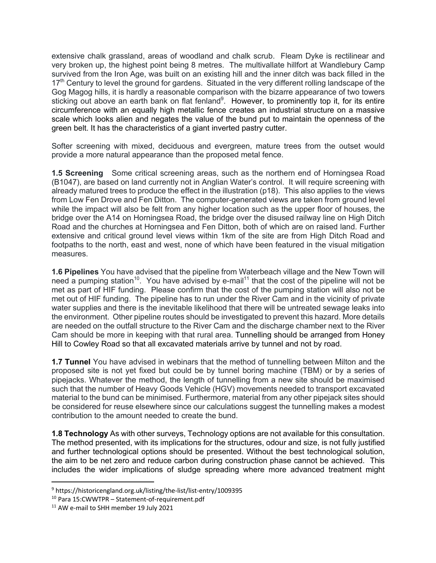extensive chalk grassland, areas of woodland and chalk scrub. Fleam Dyke is rectilinear and very broken up, the highest point being 8 metres. The multivallate hillfort at Wandlebury Camp survived from the Iron Age, was built on an existing hill and the inner ditch was back filled in the 17<sup>th</sup> Century to level the ground for gardens. Situated in the very different rolling landscape of the Gog Magog hills, it is hardly a reasonable comparison with the bizarre appearance of two towers sticking out above an earth bank on flat fenland<sup>9</sup>. However, to prominently top it, for its entire circumference with an equally high metallic fence creates an industrial structure on a massive scale which looks alien and negates the value of the bund put to maintain the openness of the green belt. It has the characteristics of a giant inverted pastry cutter.

Softer screening with mixed, deciduous and evergreen, mature trees from the outset would provide a more natural appearance than the proposed metal fence.

**1.5 Screening** Some critical screening areas, such as the northern end of Horningsea Road (B1047), are based on land currently not in Anglian Water's control. It will require screening with already matured trees to produce the effect in the illustration (p18). This also applies to the views from Low Fen Drove and Fen Ditton. The computer-generated views are taken from ground level while the impact will also be felt from any higher location such as the upper floor of houses, the bridge over the A14 on Horningsea Road, the bridge over the disused railway line on High Ditch Road and the churches at Horningsea and Fen Ditton, both of which are on raised land. Further extensive and critical ground level views within 1km of the site are from High Ditch Road and footpaths to the north, east and west, none of which have been featured in the visual mitigation measures.

**1.6 Pipelines** You have advised that the pipeline from Waterbeach village and the New Town will need a pumping station<sup>10</sup>. You have advised by e-mail<sup>11</sup> that the cost of the pipeline will not be met as part of HIF funding. Please confirm that the cost of the pumping station will also not be met out of HIF funding. The pipeline has to run under the River Cam and in the vicinity of private water supplies and there is the inevitable likelihood that there will be untreated sewage leaks into the environment. Other pipeline routes should be investigated to prevent this hazard. More details are needed on the outfall structure to the River Cam and the discharge chamber next to the River Cam should be more in keeping with that rural area. Tunnelling should be arranged from Honey Hill to Cowley Road so that all excavated materials arrive by tunnel and not by road.

**1.7 Tunnel** You have advised in webinars that the method of tunnelling between Milton and the proposed site is not yet fixed but could be by tunnel boring machine (TBM) or by a series of pipejacks. Whatever the method, the length of tunnelling from a new site should be maximised such that the number of Heavy Goods Vehicle (HGV) movements needed to transport excavated material to the bund can be minimised. Furthermore, material from any other pipejack sites should be considered for reuse elsewhere since our calculations suggest the tunnelling makes a modest contribution to the amount needed to create the bund.

**1.8 Technology** As with other surveys, Technology options are not available for this consultation. The method presented, with its implications for the structures, odour and size, is not fully justified and further technological options should be presented. Without the best technological solution, the aim to be net zero and reduce carbon during construction phase cannot be achieved. This includes the wider implications of sludge spreading where more advanced treatment might

<sup>9</sup> https://historicengland.org.uk/listing/the-list/list-entry/1009395

<sup>10</sup> Para 15:CWWTPR – Statement-of-requirement.pdf

<sup>&</sup>lt;sup>11</sup> AW e-mail to SHH member 19 July 2021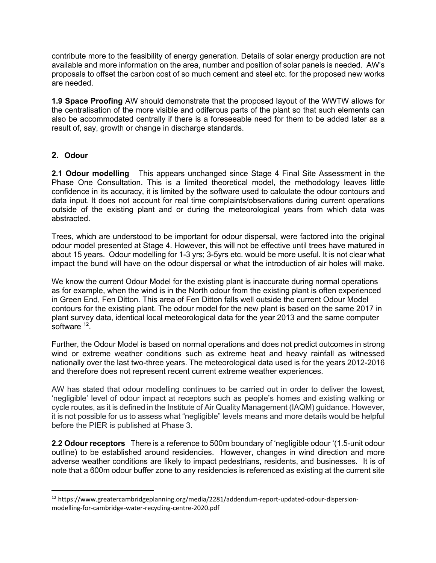contribute more to the feasibility of energy generation. Details of solar energy production are not available and more information on the area, number and position of solar panels is needed. AW's proposals to offset the carbon cost of so much cement and steel etc. for the proposed new works are needed.

**1.9 Space Proofing** AW should demonstrate that the proposed layout of the WWTW allows for the centralisation of the more visible and odiferous parts of the plant so that such elements can also be accommodated centrally if there is a foreseeable need for them to be added later as a result of, say, growth or change in discharge standards.

### **2. Odour**

**2.1 Odour modelling** This appears unchanged since Stage 4 Final Site Assessment in the Phase One Consultation. This is a limited theoretical model, the methodology leaves little confidence in its accuracy, it is limited by the software used to calculate the odour contours and data input. It does not account for real time complaints/observations during current operations outside of the existing plant and or during the meteorological years from which data was abstracted.

Trees, which are understood to be important for odour dispersal, were factored into the original odour model presented at Stage 4. However, this will not be effective until trees have matured in about 15 years. Odour modelling for 1-3 yrs; 3-5yrs etc. would be more useful. It is not clear what impact the bund will have on the odour dispersal or what the introduction of air holes will make.

We know the current Odour Model for the existing plant is inaccurate during normal operations as for example, when the wind is in the North odour from the existing plant is often experienced in Green End, Fen Ditton. This area of Fen Ditton falls well outside the current Odour Model contours for the existing plant. The odour model for the new plant is based on the same 2017 in plant survey data, identical local meteorological data for the year 2013 and the same computer software<sup>12</sup>.

Further, the Odour Model is based on normal operations and does not predict outcomes in strong wind or extreme weather conditions such as extreme heat and heavy rainfall as witnessed nationally over the last two-three years. The meteorological data used is for the years 2012-2016 and therefore does not represent recent current extreme weather experiences.

AW has stated that odour modelling continues to be carried out in order to deliver the lowest, 'negligible' level of odour impact at receptors such as people's homes and existing walking or cycle routes, as it is defined in the Institute of Air Quality Management (IAQM) guidance. However, it is not possible for us to assess what "negligible" levels means and more details would be helpful before the PIER is published at Phase 3.

**2.2 Odour receptors** There is a reference to 500m boundary of 'negligible odour '(1.5-unit odour outline) to be established around residencies. However, changes in wind direction and more adverse weather conditions are likely to impact pedestrians, residents, and businesses. It is of note that a 600m odour buffer zone to any residencies is referenced as existing at the current site

<sup>&</sup>lt;sup>12</sup> https://www.greatercambridgeplanning.org/media/2281/addendum-report-updated-odour-dispersionmodelling-for-cambridge-water-recycling-centre-2020.pdf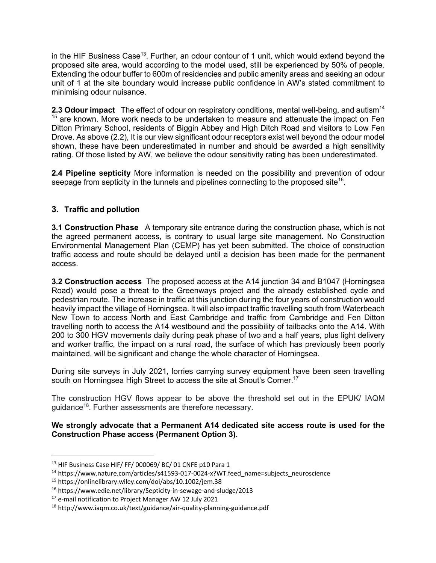in the HIF Business Case<sup>13</sup>. Further, an odour contour of 1 unit, which would extend beyond the proposed site area, would according to the model used, still be experienced by 50% of people. Extending the odour buffer to 600m of residencies and public amenity areas and seeking an odour unit of 1 at the site boundary would increase public confidence in AW's stated commitment to minimising odour nuisance.

**2.3 Odour impact** The effect of odour on respiratory conditions, mental well-being, and autism<sup>14</sup>  $15$  are known. More work needs to be undertaken to measure and attenuate the impact on Fen Ditton Primary School, residents of Biggin Abbey and High Ditch Road and visitors to Low Fen Drove. As above (2.2), It is our view significant odour receptors exist well beyond the odour model shown, these have been underestimated in number and should be awarded a high sensitivity rating. Of those listed by AW, we believe the odour sensitivity rating has been underestimated.

**2.4 Pipeline septicity** More information is needed on the possibility and prevention of odour seepage from septicity in the tunnels and pipelines connecting to the proposed site<sup>16</sup>.

# **3. Traffic and pollution**

**3.1 Construction Phase** A temporary site entrance during the construction phase, which is not the agreed permanent access, is contrary to usual large site management. No Construction Environmental Management Plan (CEMP) has yet been submitted. The choice of construction traffic access and route should be delayed until a decision has been made for the permanent access.

**3.2 Construction access** The proposed access at the A14 junction 34 and B1047 (Horningsea Road) would pose a threat to the Greenways project and the already established cycle and pedestrian route. The increase in traffic at this junction during the four years of construction would heavily impact the village of Horningsea. It will also impact traffic travelling south from Waterbeach New Town to access North and East Cambridge and traffic from Cambridge and Fen Ditton travelling north to access the A14 westbound and the possibility of tailbacks onto the A14. With 200 to 300 HGV movements daily during peak phase of two and a half years, plus light delivery and worker traffic, the impact on a rural road, the surface of which has previously been poorly maintained, will be significant and change the whole character of Horningsea.

During site surveys in July 2021, lorries carrying survey equipment have been seen travelling south on Horningsea High Street to access the site at Snout's Corner.<sup>17</sup>

The construction HGV flows appear to be above the threshold set out in the EPUK/ IAQM guidance18. Further assessments are therefore necessary.

**We strongly advocate that a Permanent A14 dedicated site access route is used for the Construction Phase access (Permanent Option 3).** 

<sup>&</sup>lt;sup>13</sup> HIF Business Case HIF/ FF/ 000069/ BC/ 01 CNFE p10 Para 1

<sup>&</sup>lt;sup>14</sup> https://www.nature.com/articles/s41593-017-0024-x?WT.feed\_name=subjects\_neuroscience

<sup>15</sup> https://onlinelibrary.wiley.com/doi/abs/10.1002/jem.38

<sup>16</sup> https://www.edie.net/library/Septicity-in-sewage-and-sludge/2013

<sup>&</sup>lt;sup>17</sup> e-mail notification to Project Manager AW 12 July 2021

<sup>18</sup> http://www.iaqm.co.uk/text/guidance/air-quality-planning-guidance.pdf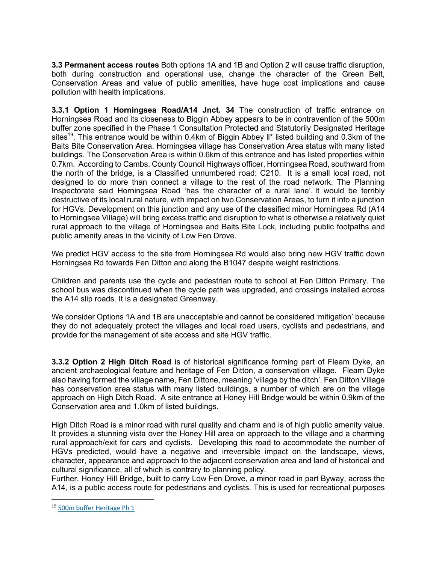**3.3 Permanent access routes** Both options 1A and 1B and Option 2 will cause traffic disruption, both during construction and operational use, change the character of the Green Belt, Conservation Areas and value of public amenities, have huge cost implications and cause pollution with health implications.

**3.3.1 Option 1 Horningsea Road/A14 Jnct. 34** The construction of traffic entrance on Horningsea Road and its closeness to Biggin Abbey appears to be in contravention of the 500m buffer zone specified in the Phase 1 Consultation Protected and Statutorily Designated Heritage sites<sup>19</sup>. This entrance would be within 0.4km of Biggin Abbey II<sup>\*</sup> listed building and 0.3km of the Baits Bite Conservation Area. Horningsea village has Conservation Area status with many listed buildings. The Conservation Area is within 0.6km of this entrance and has listed properties within 0.7km. According to Cambs. County Council Highways officer, Horningsea Road, southward from the north of the bridge, is a Classified unnumbered road: C210. It is a small local road, not designed to do more than connect a village to the rest of the road network. The Planning Inspectorate said Horningsea Road 'has the character of a rural lane'. It would be terribly destructive of its local rural nature, with impact on two Conservation Areas, to turn it into a junction for HGVs. Development on this junction and any use of the classified minor Horningsea Rd (A14 to Horningsea Village) will bring excess traffic and disruption to what is otherwise a relatively quiet rural approach to the village of Horningsea and Baits Bite Lock, including public footpaths and public amenity areas in the vicinity of Low Fen Drove.

We predict HGV access to the site from Horningsea Rd would also bring new HGV traffic down Horningsea Rd towards Fen Ditton and along the B1047 despite weight restrictions.

Children and parents use the cycle and pedestrian route to school at Fen Ditton Primary. The school bus was discontinued when the cycle path was upgraded, and crossings installed across the A14 slip roads. It is a designated Greenway.

We consider Options 1A and 1B are unacceptable and cannot be considered 'mitigation' because they do not adequately protect the villages and local road users, cyclists and pedestrians, and provide for the management of site access and site HGV traffic.

**3.3.2 Option 2 High Ditch Road** is of historical significance forming part of Fleam Dyke, an ancient archaeological feature and heritage of Fen Ditton, a conservation village. Fleam Dyke also having formed the village name, Fen Dittone, meaning 'village by the ditch'. Fen Ditton Village has conservation area status with many listed buildings, a number of which are on the village approach on High Ditch Road. A site entrance at Honey Hill Bridge would be within 0.9km of the Conservation area and 1.0km of listed buildings.

High Ditch Road is a minor road with rural quality and charm and is of high public amenity value. It provides a stunning vista over the Honey Hill area on approach to the village and a charming rural approach/exit for cars and cyclists. Developing this road to accommodate the number of HGVs predicted, would have a negative and irreversible impact on the landscape, views, character, appearance and approach to the adjacent conservation area and land of historical and cultural significance, all of which is contrary to planning policy.

Further, Honey Hill Bridge, built to carry Low Fen Drove, a minor road in part Byway, across the A14, is a public access route for pedestrians and cyclists. This is used for recreational purposes

<sup>19</sup> 500m buffer Heritage Ph 1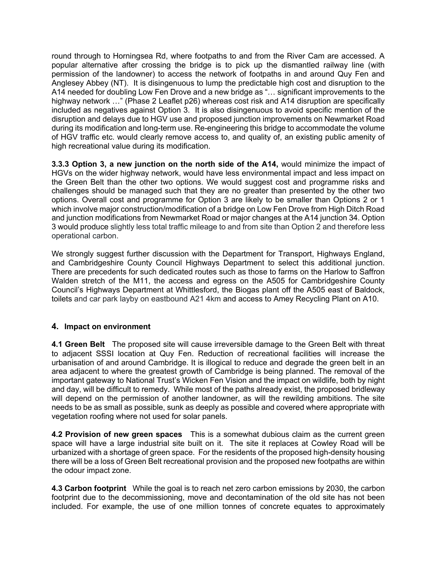round through to Horningsea Rd, where footpaths to and from the River Cam are accessed. A popular alternative after crossing the bridge is to pick up the dismantled railway line (with permission of the landowner) to access the network of footpaths in and around Quy Fen and Anglesey Abbey (NT). It is disingenuous to lump the predictable high cost and disruption to the A14 needed for doubling Low Fen Drove and a new bridge as "… significant improvements to the highway network ..." (Phase 2 Leaflet p26) whereas cost risk and A14 disruption are specifically included as negatives against Option 3. It is also disingenuous to avoid specific mention of the disruption and delays due to HGV use and proposed junction improvements on Newmarket Road during its modification and long-term use. Re-engineering this bridge to accommodate the volume of HGV traffic etc. would clearly remove access to, and quality of, an existing public amenity of high recreational value during its modification.

**3.3.3 Option 3, a new junction on the north side of the A14,** would minimize the impact of HGVs on the wider highway network, would have less environmental impact and less impact on the Green Belt than the other two options. We would suggest cost and programme risks and challenges should be managed such that they are no greater than presented by the other two options. Overall cost and programme for Option 3 are likely to be smaller than Options 2 or 1 which involve major construction/modification of a bridge on Low Fen Drove from High Ditch Road and junction modifications from Newmarket Road or major changes at the A14 junction 34. Option 3 would produce slightly less total traffic mileage to and from site than Option 2 and therefore less operational carbon.

We strongly suggest further discussion with the Department for Transport, Highways England, and Cambridgeshire County Council Highways Department to select this additional junction. There are precedents for such dedicated routes such as those to farms on the Harlow to Saffron Walden stretch of the M11, the access and egress on the A505 for Cambridgeshire County Council's Highways Department at Whittlesford, the Biogas plant off the A505 east of Baldock, toilets and car park layby on eastbound A21 4km and access to Amey Recycling Plant on A10.

# **4. Impact on environment**

**4.1 Green Belt** The proposed site will cause irreversible damage to the Green Belt with threat to adjacent SSSI location at Quy Fen. Reduction of recreational facilities will increase the urbanisation of and around Cambridge. It is illogical to reduce and degrade the green belt in an area adjacent to where the greatest growth of Cambridge is being planned. The removal of the important gateway to National Trust's Wicken Fen Vision and the impact on wildlife, both by night and day, will be difficult to remedy. While most of the paths already exist, the proposed bridleway will depend on the permission of another landowner, as will the rewilding ambitions. The site needs to be as small as possible, sunk as deeply as possible and covered where appropriate with vegetation roofing where not used for solar panels.

**4.2 Provision of new green spaces** This is a somewhat dubious claim as the current green space will have a large industrial site built on it. The site it replaces at Cowley Road will be urbanized with a shortage of green space. For the residents of the proposed high-density housing there will be a loss of Green Belt recreational provision and the proposed new footpaths are within the odour impact zone.

**4.3 Carbon footprint** While the goal is to reach net zero carbon emissions by 2030, the carbon footprint due to the decommissioning, move and decontamination of the old site has not been included. For example, the use of one million tonnes of concrete equates to approximately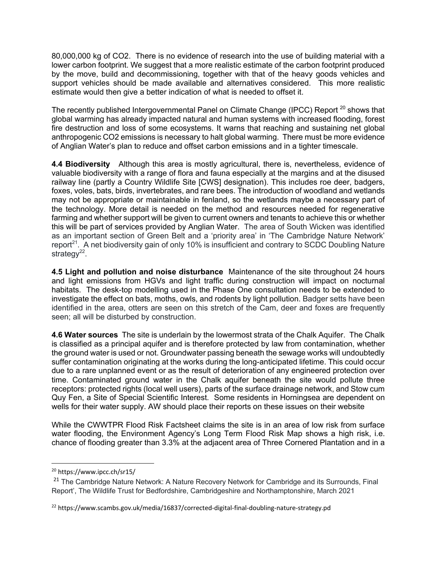80,000,000 kg of CO2. There is no evidence of research into the use of building material with a lower carbon footprint. We suggest that a more realistic estimate of the carbon footprint produced by the move, build and decommissioning, together with that of the heavy goods vehicles and support vehicles should be made available and alternatives considered. This more realistic estimate would then give a better indication of what is needed to offset it.

The recently published Intergovernmental Panel on Climate Change (IPCC) Report  $^{20}$  shows that global warming has already impacted natural and human systems with increased flooding, forest fire destruction and loss of some ecosystems. It warns that reaching and sustaining net global anthropogenic CO2 emissions is necessary to halt global warming. There must be more evidence of Anglian Water's plan to reduce and offset carbon emissions and in a tighter timescale.

**4.4 Biodiversity** Although this area is mostly agricultural, there is, nevertheless, evidence of valuable biodiversity with a range of flora and fauna especially at the margins and at the disused railway line (partly a Country Wildlife Site [CWS] designation). This includes roe deer, badgers, foxes, voles, bats, birds, invertebrates, and rare bees. The introduction of woodland and wetlands may not be appropriate or maintainable in fenland, so the wetlands maybe a necessary part of the technology. More detail is needed on the method and resources needed for regenerative farming and whether support will be given to current owners and tenants to achieve this or whether this will be part of services provided by Anglian Water. The area of South Wicken was identified as an important section of Green Belt and a 'priority area' in 'The Cambridge Nature Network' report<sup>21</sup>. A net biodiversity gain of only 10% is insufficient and contrary to SCDC Doubling Nature strategy $^{22}$ .

**4.5 Light and pollution and noise disturbance** Maintenance of the site throughout 24 hours and light emissions from HGVs and light traffic during construction will impact on nocturnal habitats. The desk-top modelling used in the Phase One consultation needs to be extended to investigate the effect on bats, moths, owls, and rodents by light pollution. Badger setts have been identified in the area, otters are seen on this stretch of the Cam, deer and foxes are frequently seen; all will be disturbed by construction.

**4.6 Water sources** The site is underlain by the lowermost strata of the Chalk Aquifer. The Chalk is classified as a principal aquifer and is therefore protected by law from contamination, whether the ground water is used or not. Groundwater passing beneath the sewage works will undoubtedly suffer contamination originating at the works during the long-anticipated lifetime. This could occur due to a rare unplanned event or as the result of deterioration of any engineered protection over time. Contaminated ground water in the Chalk aquifer beneath the site would pollute three receptors: protected rights (local well users), parts of the surface drainage network, and Stow cum Quy Fen, a Site of Special Scientific Interest. Some residents in Horningsea are dependent on wells for their water supply. AW should place their reports on these issues on their website

While the CWWTPR Flood Risk Factsheet claims the site is in an area of low risk from surface water flooding, the Environment Agency's Long Term Flood Risk Map shows a high risk, i.e. chance of flooding greater than 3.3% at the adjacent area of Three Cornered Plantation and in a

<sup>20</sup> https://www.ipcc.ch/sr15/

<sup>&</sup>lt;sup>21</sup> The Cambridge Nature Network: A Nature Recovery Network for Cambridge and its Surrounds, Final Report', The Wildlife Trust for Bedfordshire, Cambridgeshire and Northamptonshire, March 2021

<sup>22</sup> https://www.scambs.gov.uk/media/16837/corrected-digital-final-doubling-nature-strategy.pd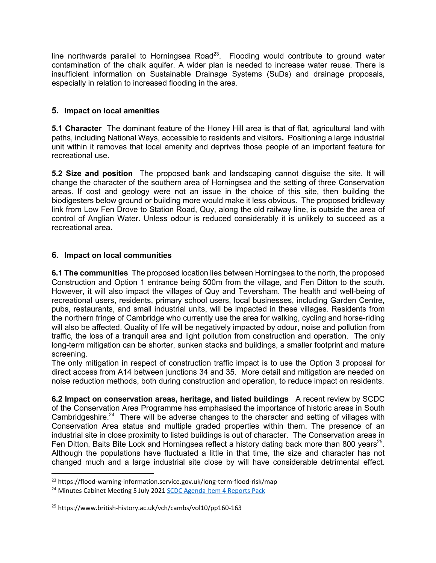line northwards parallel to Horningsea Road<sup>23</sup>. Flooding would contribute to ground water contamination of the chalk aquifer. A wider plan is needed to increase water reuse. There is insufficient information on Sustainable Drainage Systems (SuDs) and drainage proposals, especially in relation to increased flooding in the area.

# **5. Impact on local amenities**

**5.1 Character** The dominant feature of the Honey Hill area is that of flat, agricultural land with paths, including National Ways, accessible to residents and visitors**.** Positioning a large industrial unit within it removes that local amenity and deprives those people of an important feature for recreational use.

**5.2 Size and position** The proposed bank and landscaping cannot disguise the site. It will change the character of the southern area of Horningsea and the setting of three Conservation areas. If cost and geology were not an issue in the choice of this site, then building the biodigesters below ground or building more would make it less obvious. The proposed bridleway link from Low Fen Drove to Station Road, Quy, along the old railway line, is outside the area of control of Anglian Water. Unless odour is reduced considerably it is unlikely to succeed as a recreational area.

# **6. Impact on local communities**

**6.1 The communities** The proposed location lies between Horningsea to the north, the proposed Construction and Option 1 entrance being 500m from the village, and Fen Ditton to the south. However, it will also impact the villages of Quy and Teversham. The health and well-being of recreational users, residents, primary school users, local businesses, including Garden Centre, pubs, restaurants, and small industrial units, will be impacted in these villages. Residents from the northern fringe of Cambridge who currently use the area for walking, cycling and horse-riding will also be affected. Quality of life will be negatively impacted by odour, noise and pollution from traffic, the loss of a tranquil area and light pollution from construction and operation. The only long-term mitigation can be shorter, sunken stacks and buildings, a smaller footprint and mature screening.

The only mitigation in respect of construction traffic impact is to use the Option 3 proposal for direct access from A14 between junctions 34 and 35. More detail and mitigation are needed on noise reduction methods, both during construction and operation, to reduce impact on residents.

**6.2 Impact on conservation areas, heritage, and listed buildings** A recent review by SCDC of the Conservation Area Programme has emphasised the importance of historic areas in South Cambridgeshire.<sup>24</sup> There will be adverse changes to the character and setting of villages with Conservation Area status and multiple graded properties within them. The presence of an industrial site in close proximity to listed buildings is out of character. The Conservation areas in Fen Ditton, Baits Bite Lock and Horningsea reflect a history dating back more than 800 years<sup>25</sup>. Although the populations have fluctuated a little in that time, the size and character has not changed much and a large industrial site close by will have considerable detrimental effect.

<sup>23</sup> https://flood-warning-information.service.gov.uk/long-term-flood-risk/map

<sup>&</sup>lt;sup>24</sup> Minutes Cabinet Meeting 5 July 2021 SCDC Agenda Item 4 Reports Pack

<sup>25</sup> https://www.british-history.ac.uk/vch/cambs/vol10/pp160-163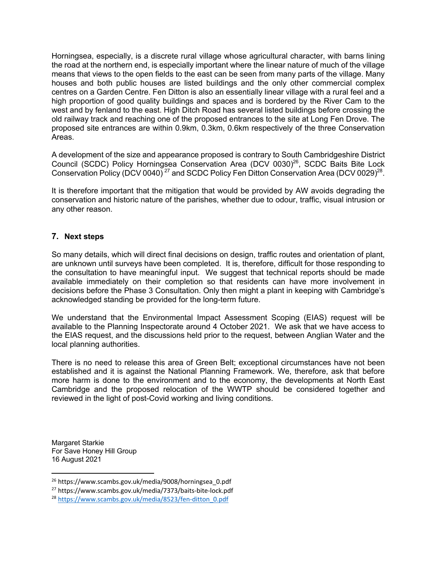Horningsea, especially, is a discrete rural village whose agricultural character, with barns lining the road at the northern end, is especially important where the linear nature of much of the village means that views to the open fields to the east can be seen from many parts of the village. Many houses and both public houses are listed buildings and the only other commercial complex centres on a Garden Centre. Fen Ditton is also an essentially linear village with a rural feel and a high proportion of good quality buildings and spaces and is bordered by the River Cam to the west and by fenland to the east. High Ditch Road has several listed buildings before crossing the old railway track and reaching one of the proposed entrances to the site at Long Fen Drove. The proposed site entrances are within 0.9km, 0.3km, 0.6km respectively of the three Conservation Areas.

A development of the size and appearance proposed is contrary to South Cambridgeshire District Council (SCDC) Policy Horningsea Conservation Area (DCV 0030)<sup>26</sup>, SCDC Baits Bite Lock Conservation Policy (DCV 0040)<sup>27</sup> and SCDC Policy Fen Ditton Conservation Area (DCV 0029)<sup>28</sup>.

It is therefore important that the mitigation that would be provided by AW avoids degrading the conservation and historic nature of the parishes, whether due to odour, traffic, visual intrusion or any other reason.

## **7. Next steps**

So many details, which will direct final decisions on design, traffic routes and orientation of plant, are unknown until surveys have been completed. It is, therefore, difficult for those responding to the consultation to have meaningful input. We suggest that technical reports should be made available immediately on their completion so that residents can have more involvement in decisions before the Phase 3 Consultation. Only then might a plant in keeping with Cambridge's acknowledged standing be provided for the long-term future.

We understand that the Environmental Impact Assessment Scoping (EIAS) request will be available to the Planning Inspectorate around 4 October 2021. We ask that we have access to the EIAS request, and the discussions held prior to the request, between Anglian Water and the local planning authorities.

There is no need to release this area of Green Belt; exceptional circumstances have not been established and it is against the National Planning Framework. We, therefore, ask that before more harm is done to the environment and to the economy, the developments at North East Cambridge and the proposed relocation of the WWTP should be considered together and reviewed in the light of post-Covid working and living conditions.

Margaret Starkie For Save Honey Hill Group 16 August 2021

<sup>26</sup> https://www.scambs.gov.uk/media/9008/horningsea\_0.pdf

<sup>27</sup> https://www.scambs.gov.uk/media/7373/baits-bite-lock.pdf

<sup>28</sup> https://www.scambs.gov.uk/media/8523/fen-ditton\_0.pdf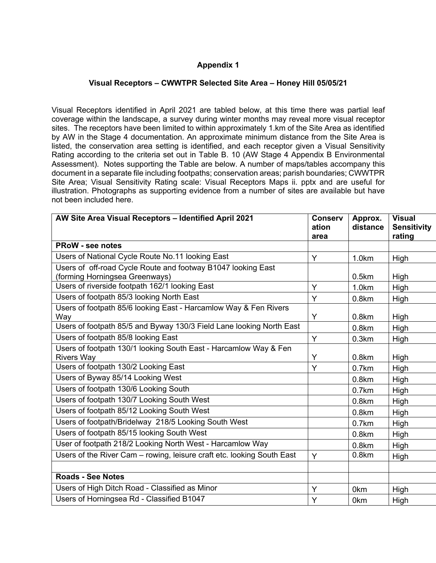# **Appendix 1**

#### **Visual Receptors – CWWTPR Selected Site Area – Honey Hill 05/05/21**

Visual Receptors identified in April 2021 are tabled below, at this time there was partial leaf coverage within the landscape, a survey during winter months may reveal more visual receptor sites. The receptors have been limited to within approximately 1.km of the Site Area as identified by AW in the Stage 4 documentation. An approximate minimum distance from the Site Area is listed, the conservation area setting is identified, and each receptor given a Visual Sensitivity Rating according to the criteria set out in Table B. 10 (AW Stage 4 Appendix B Environmental Assessment). Notes supporting the Table are below. A number of maps/tables accompany this document in a separate file including footpaths; conservation areas; parish boundaries; CWWTPR Site Area; Visual Sensitivity Rating scale: Visual Receptors Maps ii. pptx and are useful for illustration. Photographs as supporting evidence from a number of sites are available but have not been included here.

| AW Site Area Visual Receptors - Identified April 2021                  | <b>Conserv</b> | Approx.           | <b>Visual</b>      |
|------------------------------------------------------------------------|----------------|-------------------|--------------------|
|                                                                        | ation          | distance          | <b>Sensitivity</b> |
|                                                                        | area           |                   | rating             |
| <b>PRoW - see notes</b>                                                |                |                   |                    |
| Users of National Cycle Route No.11 looking East                       | Y              | 1.0km             | High               |
| Users of off-road Cycle Route and footway B1047 looking East           |                |                   |                    |
| (forming Horningsea Greenways)                                         |                | 0.5km             | High               |
| Users of riverside footpath 162/1 looking East                         | Y              | 1.0km             | High               |
| Users of footpath 85/3 looking North East                              | Y              | 0.8 <sub>km</sub> | High               |
| Users of footpath 85/6 looking East - Harcamlow Way & Fen Rivers       |                |                   |                    |
| Way                                                                    | Y              | 0.8km             | High               |
| Users of footpath 85/5 and Byway 130/3 Field Lane looking North East   |                | 0.8km             | High               |
| Users of footpath 85/8 looking East                                    | Y              | 0.3km             | High               |
| Users of footpath 130/1 looking South East - Harcamlow Way & Fen       |                |                   |                    |
| <b>Rivers Way</b>                                                      | Y              | 0.8km             | High               |
| Users of footpath 130/2 Looking East                                   | Y              | 0.7km             | High               |
| Users of Byway 85/14 Looking West                                      |                | 0.8km             | High               |
| Users of footpath 130/6 Looking South                                  |                | 0.7km             | High               |
| Users of footpath 130/7 Looking South West                             |                | 0.8km             | High               |
| Users of footpath 85/12 Looking South West                             |                | 0.8km             | High               |
| Users of footpath/Bridelway 218/5 Looking South West                   |                | $0.7$ km          | High               |
| Users of footpath 85/15 looking South West                             |                | 0.8 <sub>km</sub> | High               |
| User of footpath 218/2 Looking North West - Harcamlow Way              |                | 0.8km             | High               |
| Users of the River Cam - rowing, leisure craft etc. looking South East | Y              | 0.8km             | High               |
|                                                                        |                |                   |                    |
| <b>Roads - See Notes</b>                                               |                |                   |                    |
| Users of High Ditch Road - Classified as Minor                         | Y              | 0km               | High               |
| Users of Horningsea Rd - Classified B1047                              | Y              | 0km               | High               |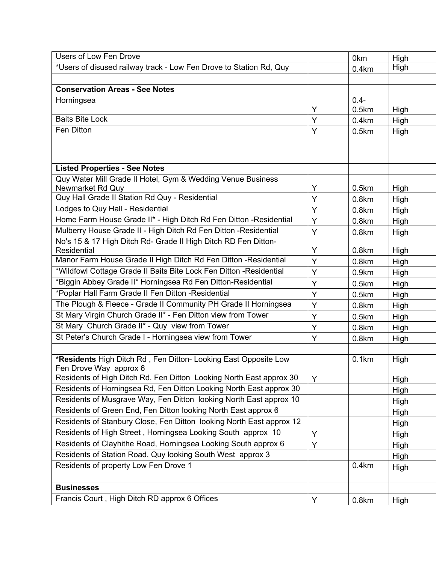| Users of Low Fen Drove                                                                        |   | 0km               | High |
|-----------------------------------------------------------------------------------------------|---|-------------------|------|
| *Users of disused railway track - Low Fen Drove to Station Rd, Quy                            |   | 0.4km             | High |
|                                                                                               |   |                   |      |
| <b>Conservation Areas - See Notes</b>                                                         |   |                   |      |
| Horningsea                                                                                    |   | $0.4 -$           |      |
|                                                                                               | Y | 0.5km             | High |
| <b>Baits Bite Lock</b>                                                                        | Y | 0.4km             | High |
| Fen Ditton                                                                                    | Y | 0.5km             | High |
|                                                                                               |   |                   |      |
|                                                                                               |   |                   |      |
| <b>Listed Properties - See Notes</b>                                                          |   |                   |      |
| Quy Water Mill Grade II Hotel, Gym & Wedding Venue Business                                   |   |                   |      |
| Newmarket Rd Quy                                                                              | Y | 0.5km             | High |
| Quy Hall Grade II Station Rd Quy - Residential                                                | Y | 0.8km             | High |
| Lodges to Quy Hall - Residential                                                              | Y | 0.8km             | High |
| Home Farm House Grade II* - High Ditch Rd Fen Ditton - Residential                            | Y | 0.8km             | High |
| Mulberry House Grade II - High Ditch Rd Fen Ditton - Residential                              | Y | 0.8km             | High |
| No's 15 & 17 High Ditch Rd- Grade II High Ditch RD Fen Ditton-                                |   |                   |      |
| Residential                                                                                   | Y | 0.8km             | High |
| Manor Farm House Grade II High Ditch Rd Fen Ditton - Residential                              | Y | 0.8km             | High |
| *Wildfowl Cottage Grade II Baits Bite Lock Fen Ditton - Residential                           | Y | 0.9km             | High |
| *Biggin Abbey Grade II* Horningsea Rd Fen Ditton-Residential                                  | Y | 0.5km             | High |
| *Poplar Hall Farm Grade II Fen Ditton -Residential                                            | Y | 0.5km             | High |
| The Plough & Fleece - Grade II Community PH Grade II Horningsea                               | Y | 0.8 <sub>km</sub> | High |
| St Mary Virgin Church Grade II* - Fen Ditton view from Tower                                  | Y | 0.5km             | High |
| St Mary Church Grade II* - Quy view from Tower                                                | Y | 0.8km             | High |
| St Peter's Church Grade I - Horningsea view from Tower                                        | Y | 0.8km             | High |
|                                                                                               |   |                   |      |
| *Residents High Ditch Rd, Fen Ditton- Looking East Opposite Low                               |   | 0.1km             | High |
| Fen Drove Way approx 6<br>Residents of High Ditch Rd, Fen Ditton Looking North East approx 30 | Y |                   |      |
| Residents of Horningsea Rd, Fen Ditton Looking North East approx 30                           |   |                   | High |
|                                                                                               |   |                   | High |
| Residents of Musgrave Way, Fen Ditton looking North East approx 10                            |   |                   | High |
| Residents of Green End, Fen Ditton looking North East approx 6                                |   |                   | High |
| Residents of Stanbury Close, Fen Ditton looking North East approx 12                          |   |                   | High |
| Residents of High Street, Horningsea Looking South approx 10                                  | Y |                   | High |
| Residents of Clayhithe Road, Horningsea Looking South approx 6                                | Y |                   | High |
| Residents of Station Road, Quy looking South West approx 3                                    |   |                   | High |
| Residents of property Low Fen Drove 1                                                         |   | 0.4km             | High |
|                                                                                               |   |                   |      |
| <b>Businesses</b>                                                                             |   |                   |      |
| Francis Court, High Ditch RD approx 6 Offices                                                 | Y | 0.8km             | High |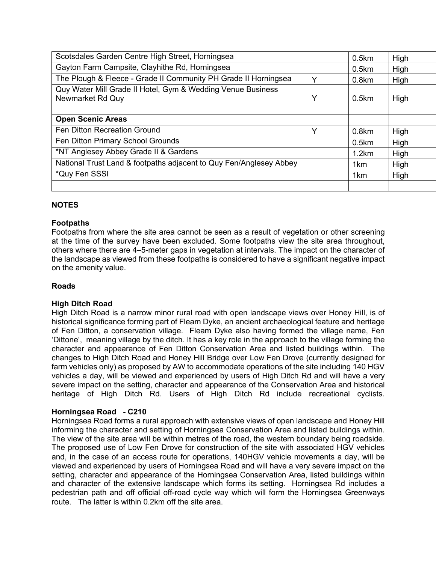| Scotsdales Garden Centre High Street, Horningsea                                |             | 0.5km             | High |
|---------------------------------------------------------------------------------|-------------|-------------------|------|
| Gayton Farm Campsite, Clayhithe Rd, Horningsea                                  |             | 0.5km             | High |
| The Plough & Fleece - Grade II Community PH Grade II Horningsea                 | Υ           | 0.8 <sub>km</sub> | High |
| Quy Water Mill Grade II Hotel, Gym & Wedding Venue Business<br>Newmarket Rd Quy | Y           | 0.5km             | High |
| <b>Open Scenic Areas</b>                                                        |             |                   |      |
|                                                                                 |             |                   |      |
| Fen Ditton Recreation Ground                                                    | $\check{ }$ | 0.8km             | High |
| Fen Ditton Primary School Grounds                                               |             | $0.5$ km          | High |
| *NT Anglesey Abbey Grade II & Gardens                                           |             | 1.2km             | High |
| National Trust Land & footpaths adjacent to Quy Fen/Anglesey Abbey              |             | 1 <sub>km</sub>   | High |
| *Quy Fen SSSI                                                                   |             | 1 <sub>km</sub>   | High |
|                                                                                 |             |                   |      |

## **NOTES**

### **Footpaths**

Footpaths from where the site area cannot be seen as a result of vegetation or other screening at the time of the survey have been excluded. Some footpaths view the site area throughout, others where there are 4–5-meter gaps in vegetation at intervals. The impact on the character of the landscape as viewed from these footpaths is considered to have a significant negative impact on the amenity value.

### **Roads**

### **High Ditch Road**

High Ditch Road is a narrow minor rural road with open landscape views over Honey Hill, is of historical significance forming part of Fleam Dyke, an ancient archaeological feature and heritage of Fen Ditton, a conservation village. Fleam Dyke also having formed the village name, Fen 'Dittone', meaning village by the ditch. It has a key role in the approach to the village forming the character and appearance of Fen Ditton Conservation Area and listed buildings within. The changes to High Ditch Road and Honey Hill Bridge over Low Fen Drove (currently designed for farm vehicles only) as proposed by AW to accommodate operations of the site including 140 HGV vehicles a day, will be viewed and experienced by users of High Ditch Rd and will have a very severe impact on the setting, character and appearance of the Conservation Area and historical heritage of High Ditch Rd. Users of High Ditch Rd include recreational cyclists.

### **Horningsea Road - C210**

Horningsea Road forms a rural approach with extensive views of open landscape and Honey Hill informing the character and setting of Horningsea Conservation Area and listed buildings within. The view of the site area will be within metres of the road, the western boundary being roadside. The proposed use of Low Fen Drove for construction of the site with associated HGV vehicles and, in the case of an access route for operations, 140HGV vehicle movements a day, will be viewed and experienced by users of Horningsea Road and will have a very severe impact on the setting, character and appearance of the Horningsea Conservation Area, listed buildings within and character of the extensive landscape which forms its setting. Horningsea Rd includes a pedestrian path and off official off-road cycle way which will form the Horningsea Greenways route. The latter is within 0.2km off the site area.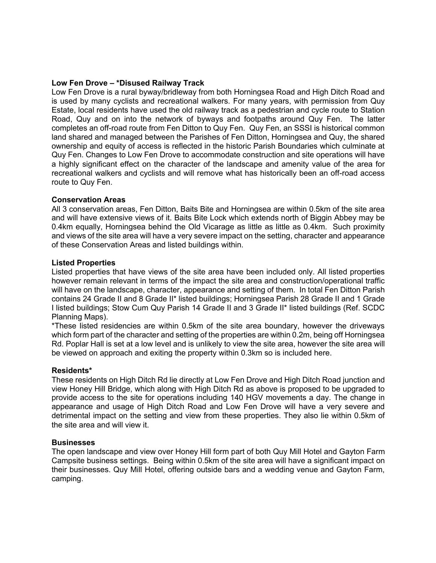#### **Low Fen Drove – \*Disused Railway Track**

Low Fen Drove is a rural byway/bridleway from both Horningsea Road and High Ditch Road and is used by many cyclists and recreational walkers. For many years, with permission from Quy Estate, local residents have used the old railway track as a pedestrian and cycle route to Station Road, Quy and on into the network of byways and footpaths around Quy Fen. The latter completes an off-road route from Fen Ditton to Quy Fen. Quy Fen, an SSSI is historical common land shared and managed between the Parishes of Fen Ditton, Horningsea and Quy, the shared ownership and equity of access is reflected in the historic Parish Boundaries which culminate at Quy Fen. Changes to Low Fen Drove to accommodate construction and site operations will have a highly significant effect on the character of the landscape and amenity value of the area for recreational walkers and cyclists and will remove what has historically been an off-road access route to Quy Fen.

#### **Conservation Areas**

All 3 conservation areas, Fen Ditton, Baits Bite and Horningsea are within 0.5km of the site area and will have extensive views of it. Baits Bite Lock which extends north of Biggin Abbey may be 0.4km equally, Horningsea behind the Old Vicarage as little as little as 0.4km. Such proximity and views of the site area will have a very severe impact on the setting, character and appearance of these Conservation Areas and listed buildings within.

#### **Listed Properties**

Listed properties that have views of the site area have been included only. All listed properties however remain relevant in terms of the impact the site area and construction/operational traffic will have on the landscape, character, appearance and setting of them. In total Fen Ditton Parish contains 24 Grade II and 8 Grade II\* listed buildings; Horningsea Parish 28 Grade II and 1 Grade I listed buildings; Stow Cum Quy Parish 14 Grade II and 3 Grade II\* listed buildings (Ref. SCDC Planning Maps).

\*These listed residencies are within 0.5km of the site area boundary, however the driveways which form part of the character and setting of the properties are within 0.2m, being off Horningsea Rd. Poplar Hall is set at a low level and is unlikely to view the site area, however the site area will be viewed on approach and exiting the property within 0.3km so is included here.

#### **Residents\***

These residents on High Ditch Rd lie directly at Low Fen Drove and High Ditch Road junction and view Honey Hill Bridge, which along with High Ditch Rd as above is proposed to be upgraded to provide access to the site for operations including 140 HGV movements a day. The change in appearance and usage of High Ditch Road and Low Fen Drove will have a very severe and detrimental impact on the setting and view from these properties. They also lie within 0.5km of the site area and will view it.

#### **Businesses**

The open landscape and view over Honey Hill form part of both Quy Mill Hotel and Gayton Farm Campsite business settings. Being within 0.5km of the site area will have a significant impact on their businesses. Quy Mill Hotel, offering outside bars and a wedding venue and Gayton Farm, camping.